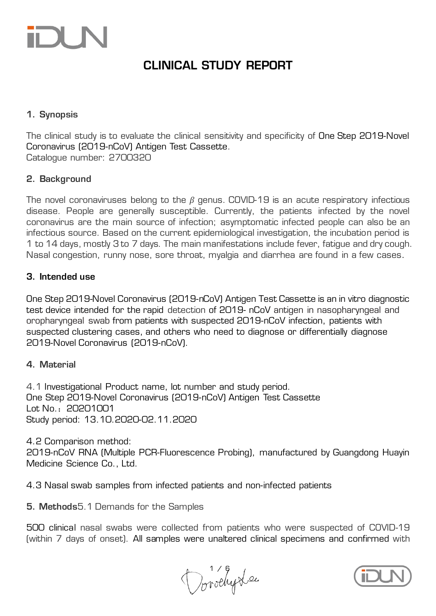### CLINICAL STUDY REPORT

### 1. Synopsis

The clinical study is to evaluate the clinical sensitivity and specificity of One Step 2019-Novel Coronavirus (2019-nCoV) Antigen Test Cassette. Catalogue number: 2700320

#### 2. Background

The novel coronaviruses belong to the *β* genus. COVID-19 is an acute respiratory infectious disease. People are generally susceptible. Currently, the patients infected by the novel coronavirus are the main source of infection; asymptomatic infected people can also be an infectious source. Based on the current epidemiological investigation, the incubation period is 1 to 14 days, mostly 3 to 7 days. The main manifestations include fever, fatigue and dry cough. Nasal congestion, runny nose, sore throat, myalgia and diarrhea are found in a few cases.

#### 3. Intended use

One Step 2019-Novel Coronavirus (2019-nCoV) Antigen Test Cassette is an in vitro diagnostic test device intended for the rapid detection of 2019- nCoV antigen in nasopharyngeal and oropharyngeal swab from patients with suspected 2019-nCoV infection, patients with suspected clustering cases, and others who need to diagnose or differentially diagnose 2019-Novel Coronavirus (2019-nCoV).

#### 4. Material

4.1 Investigational Product name, lot number and study period. One Step 2019-Novel Coronavirus (2019-nCoV) Antigen Test Cassette Lot No.:20201001 Study period: 13.10.2020-02.11.2020

4.2 Comparison method: 2019-nCoV RNA (Multiple PCR-Fluorescence Probing), manufactured by Guangdong Huayin Medicine Science Co., Ltd.

4.3 Nasal swab samples from infected patients and non-infected patients

5. Methods5.1 Demands for the Samples

500 clinical nasal swabs were collected from patients who were suspected of COVID-19 (within 7 days of onset). All samples were unaltered clinical specimens and confirmed with

Dorochy Lee

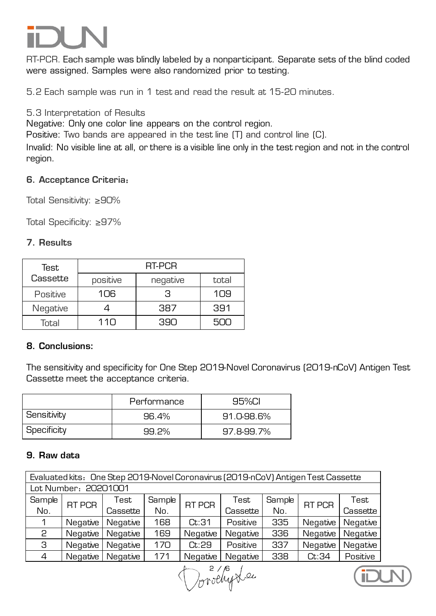RT-PCR. Each sample was blindly labeled by a nonparticipant. Separate sets of the blind coded were assigned. Samples were also randomized prior to testing.

5.2 Each sample was run in 1 test and read the result at 15-20 minutes.

#### 5.3 Interpretation of Results

Negative: Only one color line appears on the control region.

Positive: Two bands are appeared in the test line (T) and control line (C).

Invalid: No visible line at all, or there is a visible line only in the test region and not in the control region.

#### 6. Acceptance Criteria:

Total Sensitivity: ≥90%

Total Specificity: ≥97%

### 7. Results

| Test     | RT-PCR   |          |       |  |  |  |  |
|----------|----------|----------|-------|--|--|--|--|
| Cassette | positive | negative | total |  |  |  |  |
| Positive | 106      | З        | 109   |  |  |  |  |
| Negative |          | 387      | 391   |  |  |  |  |
| Total    | 110      | 390      | 500   |  |  |  |  |

### 8. Conclusions:

The sensitivity and specificity for One Step 2019-Novel Coronavirus (2019-nCoV) Antigen Test Cassette meet the acceptance criteria.

|             | Performance | 95%CL      |
|-------------|-------------|------------|
| Sensitivity | 96.4%       | 91.0-98.6% |
| Specificity | 99.2%       | 97.8-99.7% |

#### 9. Raw data

| Evaluated kits: One Step 2019-Novel Coronavirus (2019-nCoV) Antigen Test Cassette |                      |                 |        |               |          |        |               |          |  |
|-----------------------------------------------------------------------------------|----------------------|-----------------|--------|---------------|----------|--------|---------------|----------|--|
|                                                                                   | Lot Number: 20201001 |                 |        |               |          |        |               |          |  |
| Sample                                                                            | RT PCR               | Test            | Sample | <b>RT PCR</b> | Test     | Sample | <b>RT PCR</b> | Test     |  |
| No.                                                                               |                      | Cassette        | No.    |               | Cassette | No.    |               | Cassette |  |
| 1                                                                                 | Negative             | <b>Negative</b> | 168    | Ct:31         | Positive | 335    | Negative      | Negative |  |
| 2                                                                                 | Negative             | Negative        | 169    | Negative      | Negative | 336    | Negative      | Negative |  |
| З                                                                                 | Negative             | Negative        | 170    | Ct:29         | Positive | 337    | Negative      | Negative |  |
| $\overline{4}$                                                                    | Negative             | <b>Negative</b> | 171    | Negative      | Negative | 338    | Ct:34         | Positive |  |

Dorothy Lee

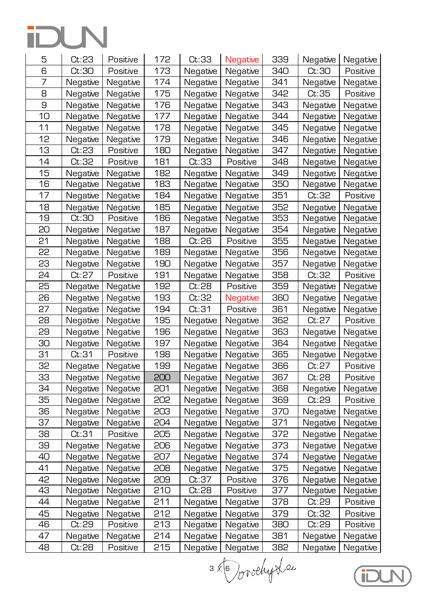| 5  | Ct:23    | Positive | 172 | Ct:33    | <b>Negative</b> | 339 | Negative | Negative |
|----|----------|----------|-----|----------|-----------------|-----|----------|----------|
| 6  | Ct:30    | Positive | 173 | Negative | Negative        | 340 | Ct:30    | Positive |
| 7  | Negative | Negative | 174 | Negative | Negative        | 341 | Negative | Negative |
| 8  | Negative | Negative | 175 | Negative | Negative        | 342 | Ct:35    | Positive |
| 9  | Negative | Negative | 176 | Negative | Negative        | 343 | Negative | Negative |
| 10 | Negative | Negative | 177 | Negative | Negative        | 344 | Negative | Negative |
| 11 | Negative | Negative | 178 | Negative | Negative        | 345 | Negative | Negative |
| 12 | Negative | Negative | 179 | Negative | Negative        | 346 | Negative | Negative |
| 13 | Ct:23    | Positive | 180 | Negative | Negative        | 347 | Negative | Negative |
| 14 | Ct:32    | Positive | 181 | Ct:33    | Positive        | 348 | Negative | Negative |
| 15 | Negative | Negative | 182 | Negative | Negative        | 349 | Negative | Negative |
| 16 | Negative | Negative | 183 | Negative | Negative        | 350 | Negative | Negative |
| 17 | Negative | Negative | 184 | Negative | Negative        | 351 | Ct:32    | Positive |
| 18 | Negative | Negative | 185 | Negative | Negative        | 352 | Negative | Negative |
| 19 | Ct:30    | Positive | 186 | Negative | Negative        | 353 | Negative | Negative |
| 20 | Negative | Negative | 187 | Negative | Negative        | 354 | Negative | Negative |
| 21 | Negative | Negative | 188 | Ct:26    | Positive        | 355 | Negative | Negative |
| 22 | Negative | Negative | 189 | Negative | Negative        | 356 | Negative | Negative |
| 23 | Negative | Negative | 190 | Negative | Negative        | 357 | Negative | Negative |
| 24 | Ct:27    | Positive | 191 | Negative | Negative        | 358 | Ct:32    | Positive |
| 25 | Negative | Negative | 192 | Ct:28    | Positive        | 359 | Negative | Negative |
| 26 | Negative | Negative | 193 | Ct:32    | Negative        | 360 | Negative | Negative |
| 27 | Negative | Negative | 194 | Ct:31    | Positive        | 361 | Negative | Negative |
| 28 | Negative | Negative | 195 | Negative | Negative        | 362 | Ct:27    | Positive |
| 29 | Negative | Negative | 196 | Negative | Negative        | 363 | Negative | Negative |
| 30 | Negative | Negative | 197 | Negative | Negative        | 364 | Negative | Negative |
| 31 | Ct:31    | Positive | 198 | Negative | Negative        | 365 | Negative | Negative |
| 32 | Negative | Negative | 199 | Negative | Negative        | 366 | Ct:27    | Positive |
| 33 | Negative | Negative | 200 | Negative | Negative        | 367 | Ct:28    | Positive |
| 34 | Negative | Negative | 201 | Negative | Negative        | 368 | Negative | Negative |
| 35 | Negative | Negative | 202 | Negative | Negative        | 369 | Ct:29    | Positive |
| 36 | Negative | Negative | 203 | Negative | Negative        | 370 | Negative | Negative |
| 37 | Negative | Negative | 204 | Negative | Negative        | 371 | Negative | Negative |
| 38 | Ct:31    | Positive | 205 | Negative | Negative        | 372 | Negative | Negative |
| 39 | Negative | Negative | 206 | Negative | Negative        | 373 | Negative | Negative |
| 40 | Negative | Negative | 207 | Negative | Negative        | 374 | Negative | Negative |
| 41 | Negative | Negative | 208 | Negative | Negative        | 375 | Negative | Negative |
| 42 | Negative | Negative | 209 | Ct:37    | Positive        | 376 | Negative | Negative |
| 43 | Negative | Negative | 210 | Ct:28    | Positive        | 377 | Negative | Negative |
| 44 | Negative | Negative | 211 | Negative | Negative        | 378 | Ct:29    | Positive |
| 45 | Negative | Negative | 212 | Negative | Negative        | 379 | Ct:32    | Positive |
| 46 | Ct:29    | Positive | 213 | Negative | Negative        | 380 | Ct:29    | Positive |
| 47 | Negative | Negative | 214 | Negative | Negative        | 381 | Negative | Negative |
| 48 | Ct:28    | Positive | 215 | Negative | Negative        | 382 | Negative | Negative |

 $3\times 6$  orothy ten

**GOLN**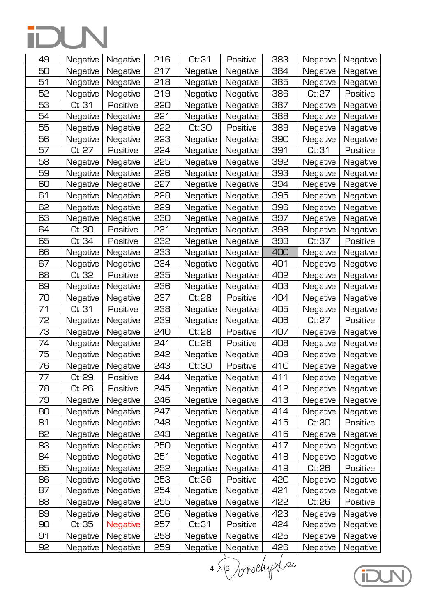| 49 | Negative | Negative | 216 | Ct:31    | Positive | 383             | Negative | Negative |
|----|----------|----------|-----|----------|----------|-----------------|----------|----------|
| 50 | Negative | Negative | 217 | Negative | Negative | 384             | Negative | Negative |
| 51 | Negative | Negative | 218 | Negative | Negative | 385             | Negative | Negative |
| 52 | Negative | Negative | 219 | Negative | Negative | 386             | Ct:27    | Positive |
| 53 | Ct:31    | Positive | 220 | Negative | Negative | 387             | Negative | Negative |
| 54 | Negative | Negative | 221 | Negative | Negative | 388             | Negative | Negative |
| 55 | Negative | Negative | 555 | Ct:30    | Positive | 389             | Negative | Negative |
| 56 | Negative | Negative | 223 | Negative | Negative | 390             | Negative | Negative |
| 57 | Ct:27    | Positive | 224 | Negative | Negative | 391             | Ct:31    | Positive |
| 58 | Negative | Negative | 225 | Negative | Negative | 392             | Negative | Negative |
| 59 | Negative | Negative | 226 | Negative | Negative | 393             | Negative | Negative |
| 60 | Negative | Negative | 227 | Negative | Negative | 394             | Negative | Negative |
| 61 | Negative | Negative | 228 | Negative | Negative | 395             | Negative | Negative |
| 62 | Negative | Negative | 229 | Negative | Negative | 396             | Negative | Negative |
| 63 | Negative | Negative | 230 | Negative | Negative | 397             | Negative | Negative |
| 64 | Ct:30    | Positive | 231 | Negative | Negative | 398             | Negative | Negative |
| 65 | Ct:34    | Positive | 232 | Negative | Negative | 399             | Ct:37    | Positive |
| 66 | Negative | Negative | 233 | Negative | Negative | 400             | Negative | Negative |
| 67 | Negative | Negative | 234 | Negative | Negative | 401             | Negative | Negative |
| 68 | Ct:32    | Positive | 235 | Negative | Negative | 402             | Negative | Negative |
| 69 | Negative | Negative | 236 | Negative | Negative | 403             | Negative | Negative |
| 70 | Negative | Negative | 237 | Ct:28    | Positive | 404             | Negative | Negative |
| 71 | Ct:31    | Positive | 238 | Negative | Negative | 405             | Negative | Negative |
| 72 | Negative | Negative | 239 | Negative | Negative | 406             | Ct:27    | Positive |
| 73 | Negative | Negative | 240 | Ct:28    | Positive | 407             | Negative | Negative |
| 74 | Negative | Negative | 241 | Ct:26    | Positive | 408             | Negative | Negative |
| 75 | Negative | Negative | 242 | Negative | Negative | 409             | Negative | Negative |
| 76 | Negative | Negative | 243 | Ct:30    | Positive | 41 <sub>O</sub> | Negative | Negative |
| 77 | Ct:29    | Positive | 244 | Negative | Negative | 411             | Negative | Negative |
| 78 | Ct:26    | Positive | 245 | Negative | Negative | 412             | Negative | Negative |
| 79 | Negative | Negative | 246 | Negative | Negative | 413             | Negative | Negative |
| 80 | Negative | Negative | 247 | Negative | Negative | 414             | Negative | Negative |
| 81 | Negative | Negative | 248 | Negative | Negative | 415             | Ct:30    | Positive |
| 82 | Negative | Negative | 249 | Negative | Negative | 416             | Negative | Negative |
| 83 | Negative | Negative | 250 | Negative | Negative | 417             | Negative | Negative |
| 84 | Negative | Negative | 251 | Negative | Negative | 418             | Negative | Negative |
| 85 | Negative | Negative | 252 | Negative | Negative | 419             | Ct:26    | Positive |
| 86 | Negative | Negative | 253 | Ct:36    | Positive | 420             | Negative | Negative |
| 87 | Negative | Negative | 254 | Negative | Negative | 421             | Negative | Negative |
| 88 | Negative | Negative | 255 | Negative | Negative | 422             | Ct:26    | Positive |
| 89 | Negative | Negative | 256 | Negative | Negative | 423             | Negative | Negative |
| 90 | Ct:35    | Negative | 257 | Ct:31    | Positive | 424             | Negative | Negative |
| 91 | Negative | Negative | 258 | Negative | Negative | 425             | Negative | Negative |
| 92 | Negative | Negative | 259 | Negative | Negative | 426             | Negative | Negative |

4 × 6 Jorochy Lec

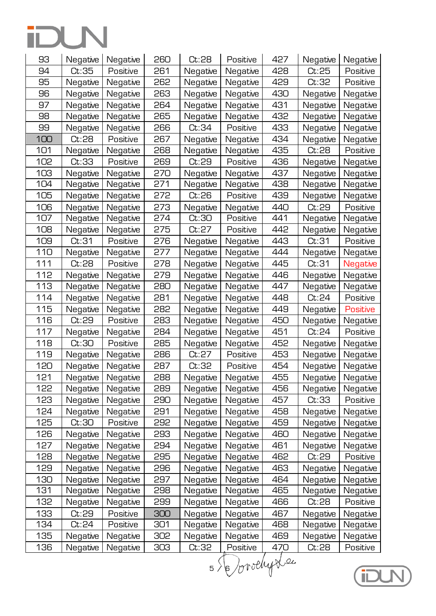| 93  | Negative | Negative | 260 | Ct:28    | Positive | 427  | Negative | Negative        |
|-----|----------|----------|-----|----------|----------|------|----------|-----------------|
| 94  | Ct:35    | Positive | 261 | Negative | Negative | 428  | Ct:25    | Positive        |
| 95  | Negative | Negative | 262 | Negative | Negative | 429  | Ct:32    | Positive        |
| 96  | Negative | Negative | 263 | Negative | Negative | 430  | Negative | Negative        |
| 97  | Negative | Negative | 264 | Negative | Negative | 431  | Negative | Negative        |
| 98  | Negative | Negative | 265 | Negative | Negative | 432  | Negative | Negative        |
| 99  | Negative | Negative | 266 | Ct:34    | Positive | 433  | Negative | Negative        |
| 100 | Ct:28    | Positive | 267 | Negative | Negative | 434  | Negative | Negative        |
| 101 | Negative | Negative | 268 | Negative | Negative | 435  | Ct:28    | Positive        |
| 102 | Ct:33    | Positive | 269 | Ct:29    | Positive | 436  | Negative | Negative        |
| 103 | Negative | Negative | 270 | Negative | Negative | 437  | Negative | Negative        |
| 104 | Negative | Negative | 271 | Negative | Negative | 438  | Negative | Negative        |
| 105 | Negative | Negative | 272 | Ct:26    | Positive | 439  | Negative | Negative        |
| 106 | Negative | Negative | 273 | Negative | Negative | 440  | Ct:29    | Positive        |
| 107 | Negative | Negative | 274 | Ct:30    | Positive | 441  | Negative | Negative        |
| 108 | Negative | Negative | 275 | Ct:27    | Positive | 442  | Negative | Negative        |
| 109 | Ct:31    | Positive | 276 | Negative | Negative | 443  | Ct:31    | Positive        |
| 110 | Negative | Negative | 277 | Negative | Negative | 444  | Negative | Negative        |
| 111 | Ct:28    | Positive | 278 | Negative | Negative | 445  | Ct:31    | Negative        |
| 112 | Negative | Negative | 279 | Negative | Negative | 446  | Negative | Negative        |
| 113 | Negative | Negative | 280 | Negative | Negative | 447  | Negative | Negative        |
| 114 | Negative | Negative | 281 | Negative | Negative | 448  | Ct:24    | Positive        |
| 115 | Negative | Negative | 282 | Negative | Negative | 449  | Negative | <b>Positive</b> |
| 116 | Ct:29    | Positive | 283 | Negative | Negative | 450  | Negative | Negative        |
| 117 | Negative | Negative | 284 | Negative | Negative | 451  | Ct:24    | Positive        |
| 118 | Ct:30    | Positive | 285 | Negative | Negative | 452  | Negative | Negative        |
| 119 | Negative | Negative | 286 | Ct:27    | Positive | 453  | Negative | Negative        |
| 120 | Negative | Negative | 287 | Ct:32    | Positive | 454  | Negative | Negative        |
| 121 | Negative | Negative | 288 | Negative | Negative | 455  | Negative | Negative        |
| 122 | Negative | Negative | 289 | Negative | Negative | 456  | Negative | Negative        |
| 123 | Negative | Negative | 290 | Negative | Negative | 457  | Ct:33    | Positive        |
| 124 | Negative | Negative | 291 | Negative | Negative | 458  | Negative | Negative        |
| 125 | Ct:30    | Positive | 292 | Negative | Negative | 459  | Negative | Negative        |
| 126 | Negative | Negative | 293 | Negative | Negative | 460  | Negative | Negative        |
| 127 | Negative | Negative | 294 | Negative | Negative | 461  | Negative | Negative        |
| 128 | Negative | Negative | 295 | Negative | Negative | 462  | Ct:29    | Positive        |
| 129 | Negative | Negative | 296 | Negative | Negative | 463  | Negative | Negative        |
| 130 | Negative | Negative | 297 | Negative | Negative | 464  | Negative | Negative        |
| 131 | Negative | Negative | 298 | Negative | Negative | 465  | Negative | Negative        |
| 132 | Negative | Negative | 299 | Negative | Negative | 466  | Ct:28    | Positive        |
| 133 | Ct:29    | Positive | 300 | Negative | Negative | 467  | Negative | Negative        |
| 134 | Ct:24    | Positive | 301 | Negative | Negative | 468  | Negative | Negative        |
| 135 | Negative | Negative | 302 | Negative | Negative | 469  | Negative | Negative        |
| 136 | Negative | Negative | 303 | Ct:32    | Positive | 47,0 | Ct:28    | Positive        |

5 Dorochy Lec